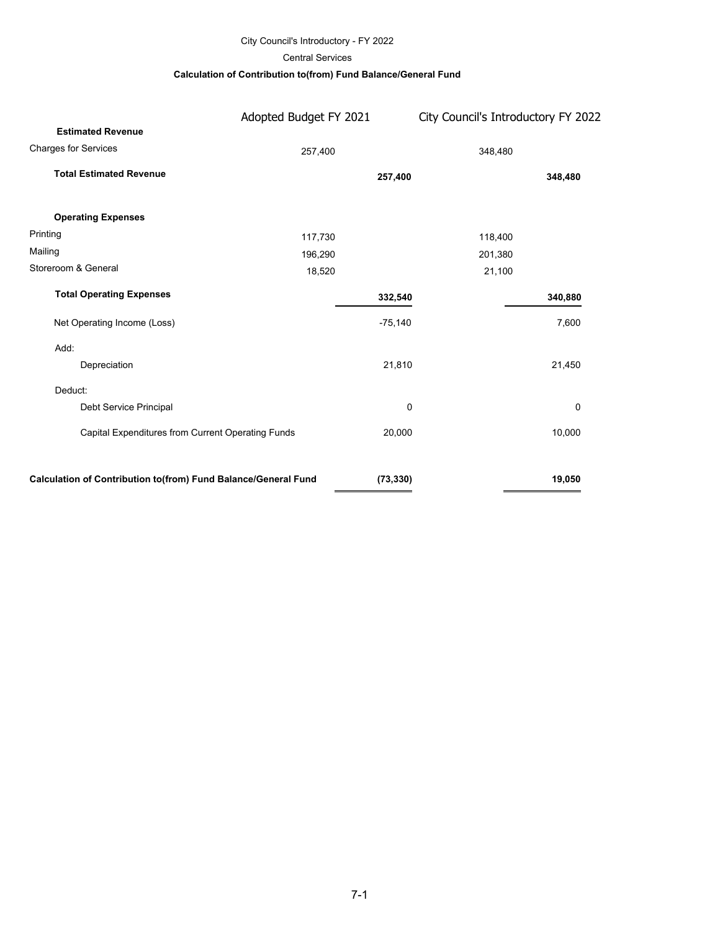### City Council's Introductory - FY 2022

Central Services

### **Calculation of Contribution to(from) Fund Balance/General Fund**

|                                                                | Adopted Budget FY 2021 |           | City Council's Introductory FY 2022 |
|----------------------------------------------------------------|------------------------|-----------|-------------------------------------|
| <b>Estimated Revenue</b>                                       |                        |           |                                     |
| <b>Charges for Services</b>                                    | 257,400                |           | 348,480                             |
| <b>Total Estimated Revenue</b>                                 |                        | 257,400   | 348,480                             |
| <b>Operating Expenses</b>                                      |                        |           |                                     |
| Printing                                                       | 117,730                |           | 118,400                             |
| Mailing                                                        | 196,290                |           | 201,380                             |
| Storeroom & General                                            | 18,520                 | 21,100    |                                     |
| <b>Total Operating Expenses</b>                                |                        | 332,540   | 340,880                             |
| Net Operating Income (Loss)                                    |                        | $-75,140$ | 7,600                               |
| Add:                                                           |                        |           |                                     |
| Depreciation                                                   |                        | 21,810    | 21,450                              |
| Deduct:                                                        |                        |           |                                     |
| Debt Service Principal                                         |                        | 0         | 0                                   |
| Capital Expenditures from Current Operating Funds              |                        | 20,000    | 10,000                              |
| Calculation of Contribution to(from) Fund Balance/General Fund |                        | (73, 330) | 19,050                              |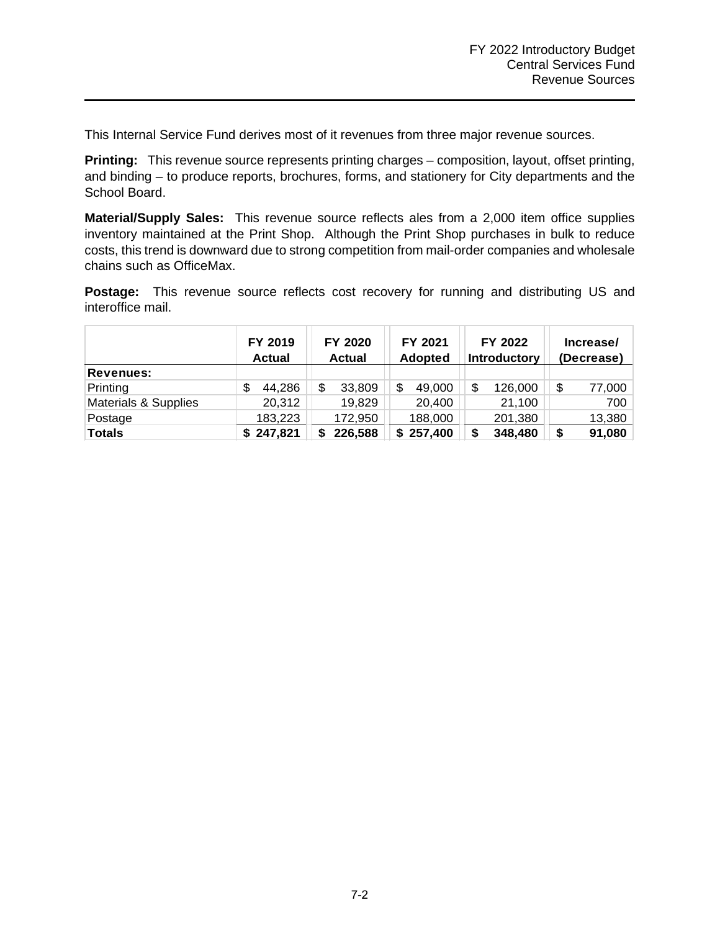This Internal Service Fund derives most of it revenues from three major revenue sources.

**Printing:** This revenue source represents printing charges – composition, layout, offset printing, and binding – to produce reports, brochures, forms, and stationery for City departments and the School Board.

**Material/Supply Sales:** This revenue source reflects ales from a 2,000 item office supplies inventory maintained at the Print Shop. Although the Print Shop purchases in bulk to reduce costs, this trend is downward due to strong competition from mail-order companies and wholesale chains such as OfficeMax.

**Postage:** This revenue source reflects cost recovery for running and distributing US and interoffice mail.

|                      | FY 2019<br><b>Actual</b> | FY 2020<br><b>Actual</b> | FY 2021<br>Adopted | FY 2022<br><b>Introductory</b> | Increase/<br>(Decrease) |
|----------------------|--------------------------|--------------------------|--------------------|--------------------------------|-------------------------|
| <b>Revenues:</b>     |                          |                          |                    |                                |                         |
| Printing             | 44,286<br>\$             | \$<br>33,809             | S<br>49,000        | 126,000                        | \$<br>77,000            |
| Materials & Supplies | 20,312                   | 19,829                   | 20,400             | 21,100                         | 700                     |
| Postage              | 183,223                  | 172,950                  | 188,000            | 201,380                        | 13,380                  |
| <b>Totals</b>        | \$247,821                | 226,588<br>\$            | \$257,400          | 348,480                        | 91,080<br>\$            |